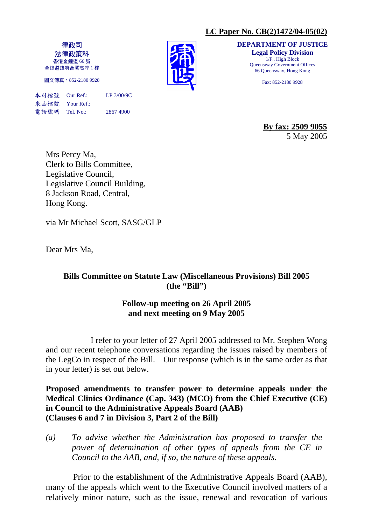## **LC Paper No. CB(2)1472/04-05(02)**

律政司 法律政策科 香港金鐘道 66 號 金鐘道政府合署高座 1 樓

圖文傳真:852-2180 9928

本司檔號 Our Ref.: LP 3/00/9C 來函檔號 Your Ref.: 電話號碼 Tel. No.: 2867 4900

**DEPARTMENT OF JUSTICE Legal Policy Division**  1/F., High Block Queensway Government Offices 66 Queensway, Hong Kong

Fax: 852-2180 9928

**By fax: 2509 9055** 5 May 2005

Mrs Percy Ma, Clerk to Bills Committee, Legislative Council, Legislative Council Building, 8 Jackson Road, Central, Hong Kong.

via Mr Michael Scott, SASG/GLP

Dear Mrs Ma,

# **Bills Committee on Statute Law (Miscellaneous Provisions) Bill 2005 (the "Bill")**

## **Follow-up meeting on 26 April 2005 and next meeting on 9 May 2005**

 I refer to your letter of 27 April 2005 addressed to Mr. Stephen Wong and our recent telephone conversations regarding the issues raised by members of the LegCo in respect of the Bill. Our response (which is in the same order as that in your letter) is set out below.

**Proposed amendments to transfer power to determine appeals under the Medical Clinics Ordinance (Cap. 343) (MCO) from the Chief Executive (CE) in Council to the Administrative Appeals Board (AAB) (Clauses 6 and 7 in Division 3, Part 2 of the Bill)** 

*(a) To advise whether the Administration has proposed to transfer the power of determination of other types of appeals from the CE in Council to the AAB, and, if so, the nature of these appeals.* 

 Prior to the establishment of the Administrative Appeals Board (AAB), many of the appeals which went to the Executive Council involved matters of a relatively minor nature, such as the issue, renewal and revocation of various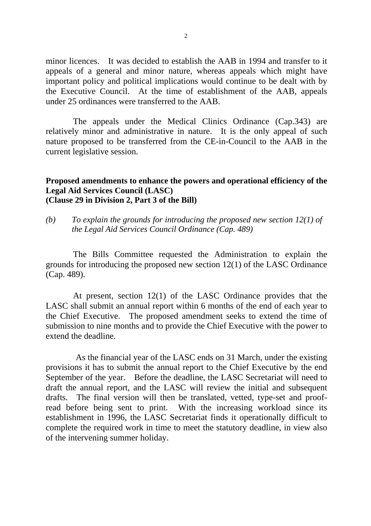minor licences. It was decided to establish the AAB in 1994 and transfer to it appeals of a general and minor nature, whereas appeals which might have important policy and political implications would continue to be dealt with by the Executive Council. At the time of establishment of the AAB, appeals under 25 ordinances were transferred to the AAB.

 The appeals under the Medical Clinics Ordinance (Cap.343) are relatively minor and administrative in nature. It is the only appeal of such nature proposed to be transferred from the CE-in-Council to the AAB in the current legislative session.

#### **Proposed amendments to enhance the powers and operational efficiency of the Legal Aid Services Council (LASC) (Clause 29 in Division 2, Part 3 of the Bill)**

*(b) To explain the grounds for introducing the proposed new section 12(1) of the Legal Aid Services Council Ordinance (Cap. 489)* 

The Bills Committee requested the Administration to explain the grounds for introducing the proposed new section 12(1) of the LASC Ordinance (Cap. 489).

 At present, section 12(1) of the LASC Ordinance provides that the LASC shall submit an annual report within 6 months of the end of each year to the Chief Executive. The proposed amendment seeks to extend the time of submission to nine months and to provide the Chief Executive with the power to extend the deadline.

 As the financial year of the LASC ends on 31 March, under the existing provisions it has to submit the annual report to the Chief Executive by the end September of the year. Before the deadline, the LASC Secretariat will need to draft the annual report, and the LASC will review the initial and subsequent drafts. The final version will then be translated, vetted, type-set and proofread before being sent to print. With the increasing workload since its establishment in 1996, the LASC Secretariat finds it operationally difficult to complete the required work in time to meet the statutory deadline, in view also of the intervening summer holiday.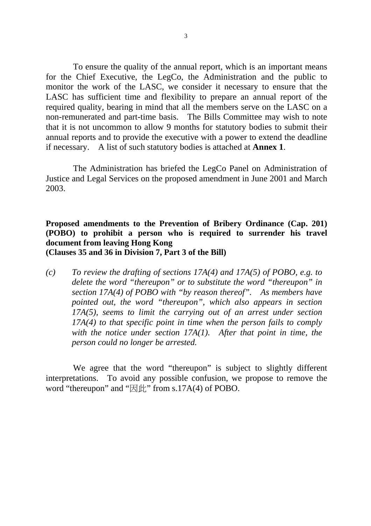To ensure the quality of the annual report, which is an important means for the Chief Executive, the LegCo, the Administration and the public to monitor the work of the LASC, we consider it necessary to ensure that the LASC has sufficient time and flexibility to prepare an annual report of the required quality, bearing in mind that all the members serve on the LASC on a non-remunerated and part-time basis. The Bills Committee may wish to note that it is not uncommon to allow 9 months for statutory bodies to submit their annual reports and to provide the executive with a power to extend the deadline if necessary. A list of such statutory bodies is attached at **Annex 1**.

 The Administration has briefed the LegCo Panel on Administration of Justice and Legal Services on the proposed amendment in June 2001 and March 2003.

### **Proposed amendments to the Prevention of Bribery Ordinance (Cap. 201) (POBO) to prohibit a person who is required to surrender his travel document from leaving Hong Kong (Clauses 35 and 36 in Division 7, Part 3 of the Bill)**

*(c) To review the drafting of sections 17A(4) and 17A(5) of POBO, e.g. to delete the word "thereupon" or to substitute the word "thereupon" in section 17A(4) of POBO with "by reason thereof". As members have pointed out, the word "thereupon", which also appears in section 17A(5), seems to limit the carrying out of an arrest under section 17A(4) to that specific point in time when the person fails to comply with the notice under section 17A(1). After that point in time, the person could no longer be arrested.* 

 We agree that the word "thereupon" is subject to slightly different interpretations. To avoid any possible confusion, we propose to remove the word "thereupon" and " $\mathbb{R} \llbracket \cdot \right\}$ " from s.17A(4) of POBO.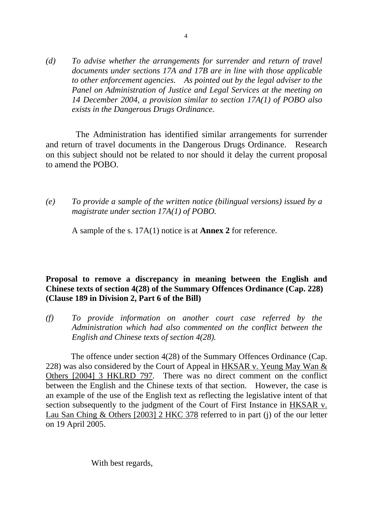*(d) To advise whether the arrangements for surrender and return of travel documents under sections 17A and 17B are in line with those applicable to other enforcement agencies. As pointed out by the legal adviser to the Panel on Administration of Justice and Legal Services at the meeting on 14 December 2004, a provision similar to section 17A(1) of POBO also exists in the Dangerous Drugs Ordinance.* 

 The Administration has identified similar arrangements for surrender and return of travel documents in the Dangerous Drugs Ordinance. Research on this subject should not be related to nor should it delay the current proposal to amend the POBO.

*(e) To provide a sample of the written notice (bilingual versions) issued by a magistrate under section 17A(1) of POBO.* 

A sample of the s. 17A(1) notice is at **Annex 2** for reference.

### **Proposal to remove a discrepancy in meaning between the English and Chinese texts of section 4(28) of the Summary Offences Ordinance (Cap. 228) (Clause 189 in Division 2, Part 6 of the Bill)**

*(f) To provide information on another court case referred by the Administration which had also commented on the conflict between the English and Chinese texts of section 4(28).* 

 The offence under section 4(28) of the Summary Offences Ordinance (Cap. 228) was also considered by the Court of Appeal in HKSAR v. Yeung May Wan & Others [2004] 3 HKLRD 797. There was no direct comment on the conflict between the English and the Chinese texts of that section. However, the case is an example of the use of the English text as reflecting the legislative intent of that section subsequently to the judgment of the Court of First Instance in HKSAR v. Lau San Ching & Others [2003] 2 HKC 378 referred to in part (j) of the our letter on 19 April 2005.

With best regards,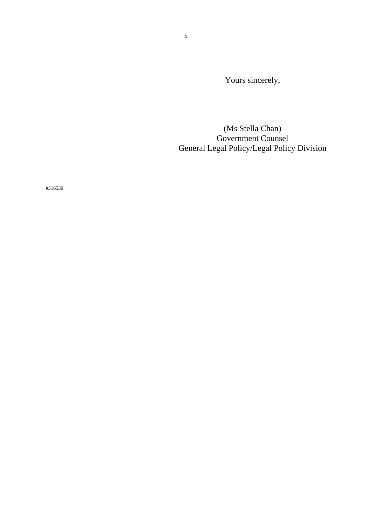Yours sincerely,

(Ms Stella Chan) Government Counsel General Legal Policy/Legal Policy Division

#316530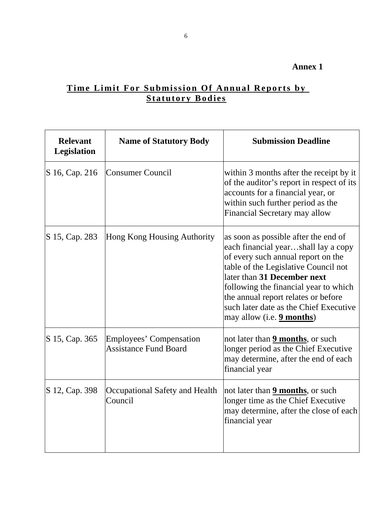# **Annex 1**

# **Time Limit For Submission Of Annual Reports by Statutory Bodies**

| <b>Relevant</b><br><b>Legislation</b> | <b>Name of Statutory Body</b>                           | <b>Submission Deadline</b>                                                                                                                                                                                                                                                                                                                             |  |  |
|---------------------------------------|---------------------------------------------------------|--------------------------------------------------------------------------------------------------------------------------------------------------------------------------------------------------------------------------------------------------------------------------------------------------------------------------------------------------------|--|--|
| S 16, Cap. 216                        | <b>Consumer Council</b>                                 | within 3 months after the receipt by it<br>of the auditor's report in respect of its<br>accounts for a financial year, or<br>within such further period as the<br>Financial Secretary may allow                                                                                                                                                        |  |  |
| S 15, Cap. 283                        | Hong Kong Housing Authority                             | as soon as possible after the end of<br>each financial yearshall lay a copy<br>of every such annual report on the<br>table of the Legislative Council not<br>later than 31 December next<br>following the financial year to which<br>the annual report relates or before<br>such later date as the Chief Executive<br>may allow (i.e. <b>9 months)</b> |  |  |
| S 15, Cap. 365                        | Employees' Compensation<br><b>Assistance Fund Board</b> | not later than <b>9 months</b> , or such<br>longer period as the Chief Executive<br>may determine, after the end of each<br>financial year                                                                                                                                                                                                             |  |  |
| S 12, Cap. 398                        | Occupational Safety and Health<br>Council               | not later than <b>9 months</b> , or such<br>longer time as the Chief Executive<br>may determine, after the close of each<br>financial year                                                                                                                                                                                                             |  |  |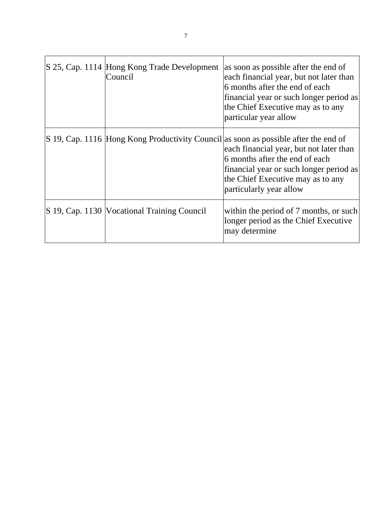|  |  |  | S 25, Cap. 1114 Hong Kong Trade Development<br>Council | as soon as possible after the end of<br>each financial year, but not later than<br>6 months after the end of each<br>financial year or such longer period as<br>the Chief Executive may as to any<br>particular year allow                                                  |
|--|--|--|--------------------------------------------------------|-----------------------------------------------------------------------------------------------------------------------------------------------------------------------------------------------------------------------------------------------------------------------------|
|  |  |  |                                                        | S 19, Cap. 1116 Hong Kong Productivity Council as soon as possible after the end of<br>each financial year, but not later than<br>6 months after the end of each<br>financial year or such longer period as<br>the Chief Executive may as to any<br>particularly year allow |
|  |  |  | S 19, Cap. 1130   Vocational Training Council          | within the period of 7 months, or such<br>longer period as the Chief Executive<br>may determine                                                                                                                                                                             |